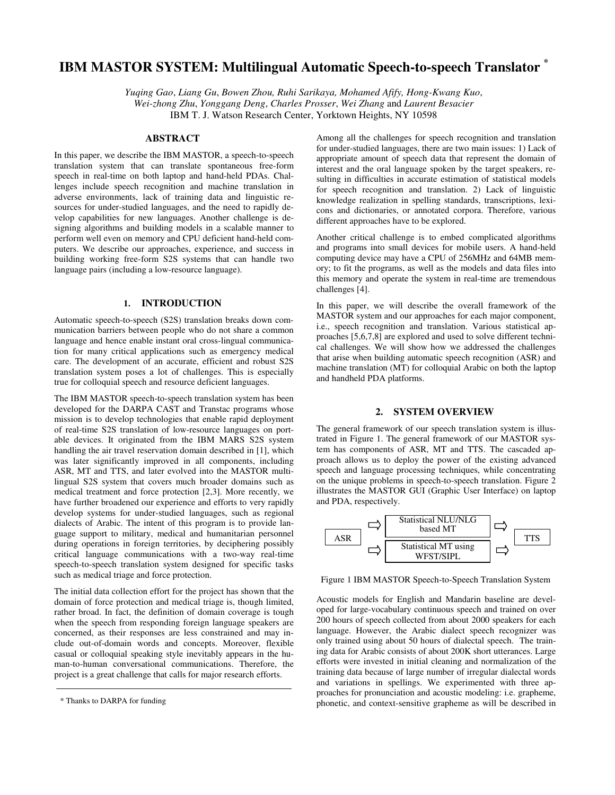# **IBM MASTOR SYSTEM: Multilingual Automatic Speech-to-speech Translator \***

*Yuqing Gao*, *Liang Gu*, *Bowen Zhou, Ruhi Sarikaya, Mohamed Afify, Hong-Kwang Kuo*, *Wei-zhong Zhu*, *Yonggang Deng*, *Charles Prosser*, *Wei Zhang* and *Laurent Besacier*

IBM T. J. Watson Research Center, Yorktown Heights, NY 10598

# **ABSTRACT**

In this paper, we describe the IBM MASTOR, a speech-to-speech translation system that can translate spontaneous free-form speech in real-time on both laptop and hand-held PDAs. Challenges include speech recognition and machine translation in adverse environments, lack of training data and linguistic resources for under-studied languages, and the need to rapidly develop capabilities for new languages. Another challenge is designing algorithms and building models in a scalable manner to perform well even on memory and CPU deficient hand-held computers. We describe our approaches, experience, and success in building working free-form S2S systems that can handle two language pairs (including a low-resource language).

## **1. INTRODUCTION**

Automatic speech-to-speech (S2S) translation breaks down communication barriers between people who do not share a common language and hence enable instant oral cross-lingual communication for many critical applications such as emergency medical care. The development of an accurate, efficient and robust S2S translation system poses a lot of challenges. This is especially true for colloquial speech and resource deficient languages.

The IBM MASTOR speech-to-speech translation system has been developed for the DARPA CAST and Transtac programs whose mission is to develop technologies that enable rapid deployment of real-time S2S translation of low-resource languages on portable devices. It originated from the IBM MARS S2S system handling the air travel reservation domain described in [1], which was later significantly improved in all components, including ASR, MT and TTS, and later evolved into the MASTOR multilingual S2S system that covers much broader domains such as medical treatment and force protection [2,3]. More recently, we have further broadened our experience and efforts to very rapidly develop systems for under-studied languages, such as regional dialects of Arabic. The intent of this program is to provide language support to military, medical and humanitarian personnel during operations in foreign territories, by deciphering possibly critical language communications with a two-way real-time speech-to-speech translation system designed for specific tasks such as medical triage and force protection.

The initial data collection effort for the project has shown that the domain of force protection and medical triage is, though limited, rather broad. In fact, the definition of domain coverage is tough when the speech from responding foreign language speakers are concerned, as their responses are less constrained and may include out-of-domain words and concepts. Moreover, flexible casual or colloquial speaking style inevitably appears in the human-to-human conversational communications. Therefore, the project is a great challenge that calls for major research efforts.

Among all the challenges for speech recognition and translation for under-studied languages, there are two main issues: 1) Lack of appropriate amount of speech data that represent the domain of interest and the oral language spoken by the target speakers, resulting in difficulties in accurate estimation of statistical models for speech recognition and translation. 2) Lack of linguistic knowledge realization in spelling standards, transcriptions, lexicons and dictionaries, or annotated corpora. Therefore, various different approaches have to be explored.

Another critical challenge is to embed complicated algorithms and programs into small devices for mobile users. A hand-held computing device may have a CPU of 256MHz and 64MB memory; to fit the programs, as well as the models and data files into this memory and operate the system in real-time are tremendous challenges [4].

In this paper, we will describe the overall framework of the MASTOR system and our approaches for each major component, i.e., speech recognition and translation. Various statistical approaches [5,6,7,8] are explored and used to solve different technical challenges. We will show how we addressed the challenges that arise when building automatic speech recognition (ASR) and machine translation (MT) for colloquial Arabic on both the laptop and handheld PDA platforms.

## **2. SYSTEM OVERVIEW**

The general framework of our speech translation system is illustrated in Figure 1. The general framework of our MASTOR system has components of ASR, MT and TTS. The cascaded approach allows us to deploy the power of the existing advanced speech and language processing techniques, while concentrating on the unique problems in speech-to-speech translation. Figure 2 illustrates the MASTOR GUI (Graphic User Interface) on laptop and PDA, respectively.



Figure 1 IBM MASTOR Speech-to-Speech Translation System

Acoustic models for English and Mandarin baseline are developed for large-vocabulary continuous speech and trained on over 200 hours of speech collected from about 2000 speakers for each language. However, the Arabic dialect speech recognizer was only trained using about 50 hours of dialectal speech. The training data for Arabic consists of about 200K short utterances. Large efforts were invested in initial cleaning and normalization of the training data because of large number of irregular dialectal words and variations in spellings. We experimented with three approaches for pronunciation and acoustic modeling: i.e. grapheme, phonetic, and context-sensitive grapheme as will be described in

<sup>\*</sup> Thanks to DARPA for funding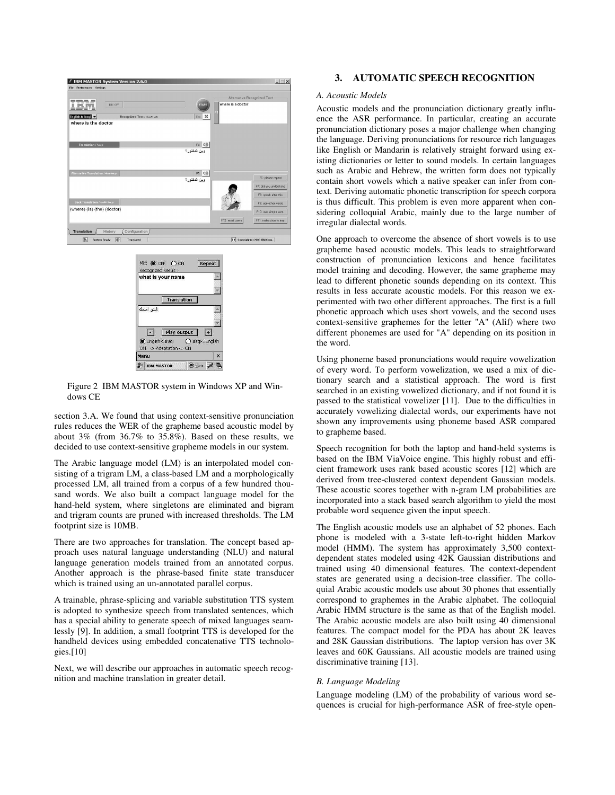



Figure 2 IBM MASTOR system in Windows XP and Windows CE

section 3.A. We found that using context-sensitive pronunciation rules reduces the WER of the grapheme based acoustic model by about 3% (from 36.7% to 35.8%). Based on these results, we decided to use context-sensitive grapheme models in our system.

The Arabic language model (LM) is an interpolated model consisting of a trigram LM, a class-based LM and a morphologically processed LM, all trained from a corpus of a few hundred thousand words. We also built a compact language model for the hand-held system, where singletons are eliminated and bigram and trigram counts are pruned with increased thresholds. The LM footprint size is 10MB.

There are two approaches for translation. The concept based approach uses natural language understanding (NLU) and natural language generation models trained from an annotated corpus. Another approach is the phrase-based finite state transducer which is trained using an un-annotated parallel corpus.

A trainable, phrase-splicing and variable substitution TTS system is adopted to synthesize speech from translated sentences, which has a special ability to generate speech of mixed languages seamlessly [9]. In addition, a small footprint TTS is developed for the handheld devices using embedded concatenative TTS technologies.[10]

Next, we will describe our approaches in automatic speech recognition and machine translation in greater detail.

# **3. AUTOMATIC SPEECH RECOGNITION**

## *A. Acoustic Models*

Acoustic models and the pronunciation dictionary greatly influence the ASR performance. In particular, creating an accurate pronunciation dictionary poses a major challenge when changing the language. Deriving pronunciations for resource rich languages like English or Mandarin is relatively straight forward using existing dictionaries or letter to sound models. In certain languages such as Arabic and Hebrew, the written form does not typically contain short vowels which a native speaker can infer from context. Deriving automatic phonetic transcription for speech corpora is thus difficult. This problem is even more apparent when considering colloquial Arabic, mainly due to the large number of irregular dialectal words.

One approach to overcome the absence of short vowels is to use grapheme based acoustic models. This leads to straightforward construction of pronunciation lexicons and hence facilitates model training and decoding. However, the same grapheme may lead to different phonetic sounds depending on its context. This results in less accurate acoustic models. For this reason we experimented with two other different approaches. The first is a full phonetic approach which uses short vowels, and the second uses context-sensitive graphemes for the letter "A" (Alif) where two different phonemes are used for "A" depending on its position in the word.

Using phoneme based pronunciations would require vowelization of every word. To perform vowelization, we used a mix of dictionary search and a statistical approach. The word is first searched in an existing vowelized dictionary, and if not found it is passed to the statistical vowelizer [11]. Due to the difficulties in accurately vowelizing dialectal words, our experiments have not shown any improvements using phoneme based ASR compared to grapheme based.

Speech recognition for both the laptop and hand-held systems is based on the IBM ViaVoice engine. This highly robust and efficient framework uses rank based acoustic scores [12] which are derived from tree-clustered context dependent Gaussian models. These acoustic scores together with n-gram LM probabilities are incorporated into a stack based search algorithm to yield the most probable word sequence given the input speech.

The English acoustic models use an alphabet of 52 phones. Each phone is modeled with a 3-state left-to-right hidden Markov model (HMM). The system has approximately 3,500 contextdependent states modeled using 42K Gaussian distributions and trained using 40 dimensional features. The context-dependent states are generated using a decision-tree classifier. The colloquial Arabic acoustic models use about 30 phones that essentially correspond to graphemes in the Arabic alphabet. The colloquial Arabic HMM structure is the same as that of the English model. The Arabic acoustic models are also built using 40 dimensional features. The compact model for the PDA has about 2K leaves and 28K Gaussian distributions. The laptop version has over 3K leaves and 60K Gaussians. All acoustic models are trained using discriminative training [13].

## *B. Language Modeling*

Language modeling (LM) of the probability of various word sequences is crucial for high-performance ASR of free-style open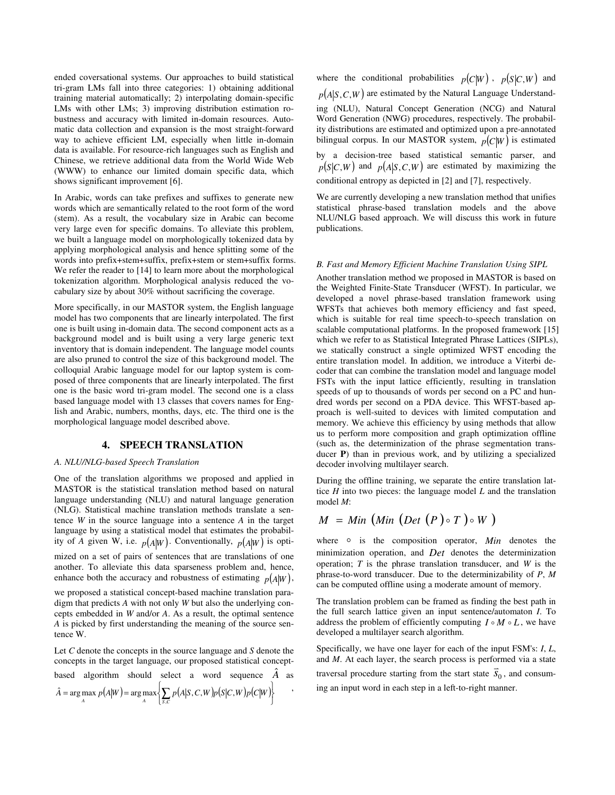ended coversational systems. Our approaches to build statistical tri-gram LMs fall into three categories: 1) obtaining additional training material automatically; 2) interpolating domain-specific LMs with other LMs; 3) improving distribution estimation robustness and accuracy with limited in-domain resources. Automatic data collection and expansion is the most straight-forward way to achieve efficient LM, especially when little in-domain data is available. For resource-rich languages such as English and Chinese, we retrieve additional data from the World Wide Web (WWW) to enhance our limited domain specific data, which shows significant improvement [6].

In Arabic, words can take prefixes and suffixes to generate new words which are semantically related to the root form of the word (stem). As a result, the vocabulary size in Arabic can become very large even for specific domains. To alleviate this problem, we built a language model on morphologically tokenized data by applying morphological analysis and hence splitting some of the words into prefix+stem+suffix, prefix+stem or stem+suffix forms. We refer the reader to [14] to learn more about the morphological tokenization algorithm. Morphological analysis reduced the vocabulary size by about 30% without sacrificing the coverage.

More specifically, in our MASTOR system, the English language model has two components that are linearly interpolated. The first one is built using in-domain data. The second component acts as a background model and is built using a very large generic text inventory that is domain independent. The language model counts are also pruned to control the size of this background model. The colloquial Arabic language model for our laptop system is composed of three components that are linearly interpolated. The first one is the basic word tri-gram model. The second one is a class based language model with 13 classes that covers names for English and Arabic, numbers, months, days, etc. The third one is the morphological language model described above.

## **4. SPEECH TRANSLATION**

## *A. NLU/NLG-based Speech Translation*

One of the translation algorithms we proposed and applied in MASTOR is the statistical translation method based on natural language understanding (NLU) and natural language generation (NLG). Statistical machine translation methods translate a sentence *W* in the source language into a sentence *A* in the target language by using a statistical model that estimates the probability of *A* given W, i.e.  $p(A|W)$ . Conventionally,  $p(A|W)$  is opti-

mized on a set of pairs of sentences that are translations of one another. To alleviate this data sparseness problem and, hence, enhance both the accuracy and robustness of estimating  $p(A|W)$ ,

we proposed a statistical concept-based machine translation paradigm that predicts *A* with not only *W* but also the underlying concepts embedded in *W* and/or *A*. As a result, the optimal sentence *A* is picked by first understanding the meaning of the source sentence W.

Let *C* denote the concepts in the source language and *S* denote the concepts in the target language, our proposed statistical conceptbased algorithm should select a word sequence  $\hat{A}$  as  $(A|W) = \arg \max \{ \sum p(A|S, C, W)p(S|C, W)p(C|W) \}$  $\left\{ \begin{array}{c} 1 \\ 1 \end{array} \right\}$  $\hat{A} = \arg \max_{A} p(A|W) = \arg \max_{A} \left\{ \sum_{S,C} p(A|S,C,W)p(S|C,W)p(C|W)\right\}$ , ,

where the conditional probabilities  $p(C|W)$ ,  $p(S|C,W)$  and  $p(A|S, C, W)$  are estimated by the Natural Language Understanding (NLU), Natural Concept Generation (NCG) and Natural Word Generation (NWG) procedures, respectively. The probability distributions are estimated and optimized upon a pre-annotated bilingual corpus. In our MASTOR system,  $p(C|W)$  is estimated

by a decision-tree based statistical semantic parser, and  $p(S|C, W)$  and  $p(A|S, C, W)$  are estimated by maximizing the conditional entropy as depicted in [2] and [7], respectively.

We are currently developing a new translation method that unifies statistical phrase-based translation models and the above NLU/NLG based approach. We will discuss this work in future publications.

#### *B. Fast and Memory Efficient Machine Translation Using SIPL*

Another translation method we proposed in MASTOR is based on the Weighted Finite-State Transducer (WFST). In particular, we developed a novel phrase-based translation framework using WFSTs that achieves both memory efficiency and fast speed, which is suitable for real time speech-to-speech translation on scalable computational platforms. In the proposed framework [15] which we refer to as Statistical Integrated Phrase Lattices (SIPLs), we statically construct a single optimized WFST encoding the entire translation model. In addition, we introduce a Viterbi decoder that can combine the translation model and language model FSTs with the input lattice efficiently, resulting in translation speeds of up to thousands of words per second on a PC and hundred words per second on a PDA device. This WFST-based approach is well-suited to devices with limited computation and memory. We achieve this efficiency by using methods that allow us to perform more composition and graph optimization offline (such as, the determinization of the phrase segmentation transducer **P**) than in previous work, and by utilizing a specialized decoder involving multilayer search.

During the offline training, we separate the entire translation lattice *H* into two pieces: the language model *L* and the translation model *M*:

$$
M = Min \left( Min \left( Det \left( P \right) \circ T \right) \circ W \right)
$$

where o is the composition operator, *Min* denotes the minimization operation, and *Det* denotes the determinization operation; *T* is the phrase translation transducer, and *W* is the phrase-to-word transducer. Due to the determinizability of *P*, *M* can be computed offline using a moderate amount of memory.

The translation problem can be framed as finding the best path in the full search lattice given an input sentence/automaton *I*. To address the problem of efficiently computing  $I \circ M \circ L$ , we have developed a multilayer search algorithm.

Specifically, we have one layer for each of the input FSM's: *I*, *L*, and  $M$ . At each layer, the search process is performed via a state traversal procedure starting from the start state  $\vec{s}_0$ , and consuming an input word in each step in a left-to-right manner.